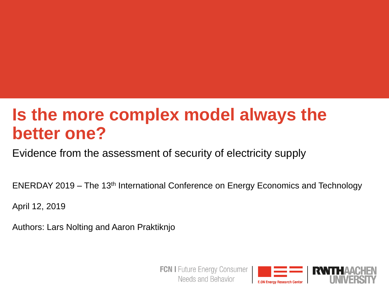# **Is the more complex model always the better one?**

Evidence from the assessment of security of electricity supply

ENERDAY 2019 – The 13th International Conference on Energy Economics and Technology

April 12, 2019

Authors: Lars Nolting and Aaron Praktiknjo

**FCN I** Future Energy Consumer Needs and Behavior

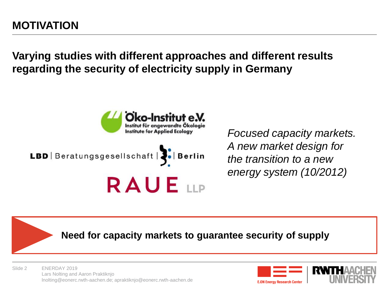**Varying studies with different approaches and different results regarding the security of electricity supply in Germany**



*Focused capacity markets. A new market design for the transition to a new energy system (10/2012)*

**Need for capacity markets to guarantee security of supply**

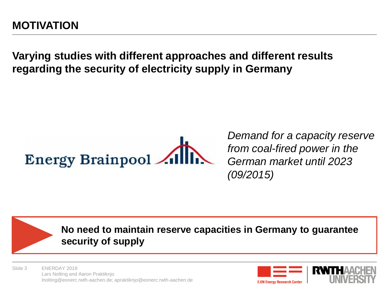**Varying studies with different approaches and different results regarding the security of electricity supply in Germany**

*Demand for a capacity reserve from coal-fired power in the German market until 2023 (09/2015)*

**No need to maintain reserve capacities in Germany to guarantee security of supply**

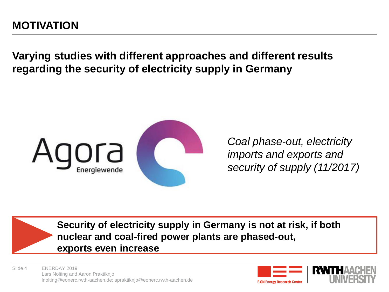#### **MOTIVATION**

**Varying studies with different approaches and different results regarding the security of electricity supply in Germany**



*Coal phase-out, electricity imports and exports and security of supply (11/2017)*

**Security of electricity supply in Germany is not at risk, if both nuclear and coal-fired power plants are phased-out, exports even increase**

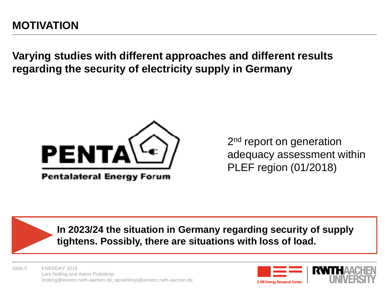**Varying studies with different approaches and different results regarding the security of electricity supply in Germany**



**Pentalateral Energy Forum** 

2<sup>nd</sup> report on generation adequacy assessment within PLEF region (01/2018)

**In 2023/24 the situation in Germany regarding security of supply tightens. Possibly, there are situations with loss of load.**

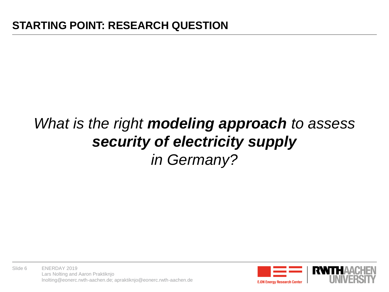# *What is the right modeling approach to assess security of electricity supply in Germany?*



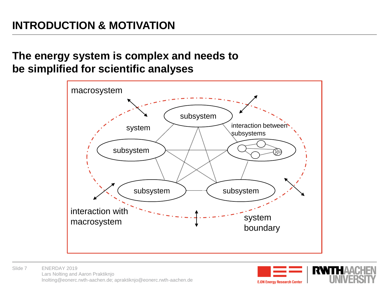#### **INTRODUCTION & MOTIVATION**

#### **The energy system is complex and needs to be simplified for scientific analyses**





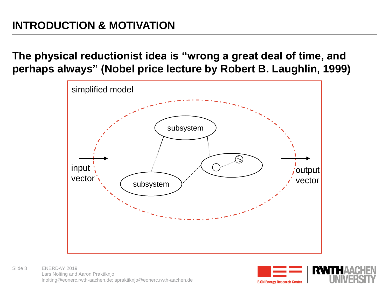**The physical reductionist idea is "wrong a great deal of time, and perhaps always" (Nobel price lecture by Robert B. Laughlin, 1999)**



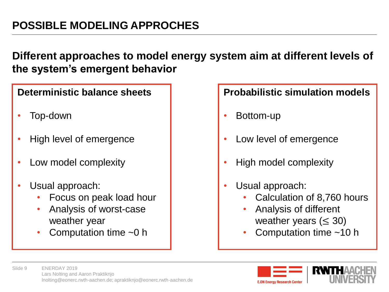#### **Different approaches to model energy system aim at different levels of the system's emergent behavior**

#### **Deterministic balance sheets**

- Top-down
- High level of emergence
- Low model complexity
- Usual approach:
	- Focus on peak load hour
	- Analysis of worst-case weather year
	- Computation time  $~10~$ h

#### **Probabilistic simulation models**

- Bottom-up
- Low level of emergence
- High model complexity
- Usual approach:
	- Calculation of 8,760 hours
	- Analysis of different weather years ( $\leq$  30)
	- Computation time  $~10$  h



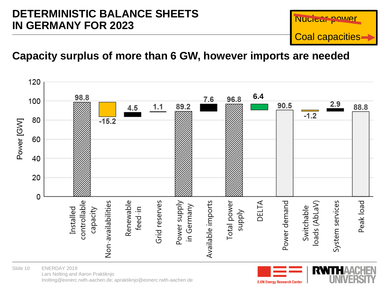#### **DETERMINISTIC BALANCE SHEETS IN GERMANY FOR 2023**



#### **Capacity surplus of more than 6 GW, however imports are needed**



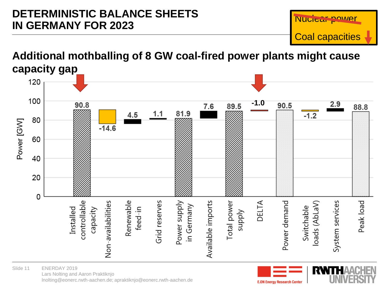#### **DETERMINISTIC BALANCE SHEETS IN GERMANY FOR 2023**



#### **Additional mothballing of 8 GW coal-fired power plants might cause capacity gap**



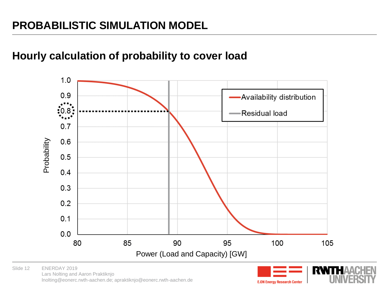#### **Hourly calculation of probability to cover load**



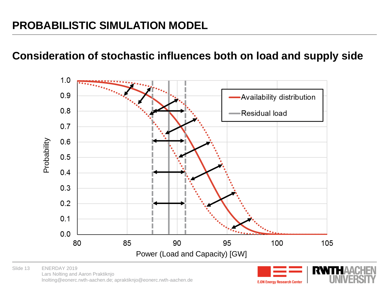#### **Consideration of stochastic influences both on load and supply side**



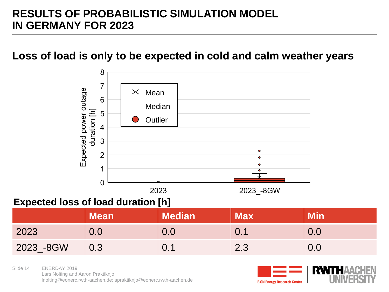#### **RESULTS OF PROBABILISTIC SIMULATION MODEL IN GERMANY FOR 2023**

#### **Loss of load is only to be expected in cold and calm weather years**



#### **Expected loss of load duration [h]**

|           | <b>Mean</b> | <b>Median</b> | <b>Max</b> | <b>Min</b> |
|-----------|-------------|---------------|------------|------------|
| 2023      |             | J.O           |            | 0.O        |
| 2023 -8GW | 0.3         |               | 2.3        | $0.0\,$    |

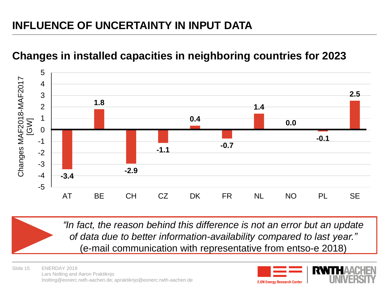### **INFLUENCE OF UNCERTAINTY IN INPUT DATA**

#### **-3.4 1.8 -2.9 -1.1 0.4 -0.7 1.4 0.0 -0.1 2.5** -5 -4 -3 -2 -1 0 1 2 3 4 5 AT BE CH CZ DK FR NL NO PL SE Changes MAF2018-MAF2017 [GW]

#### **Changes in installed capacities in neighboring countries for 2023**

*"In fact, the reason behind this difference is not an error but an update of data due to better information-availability compared to last year."*  (e-mail communication with representative from entso-e 2018)

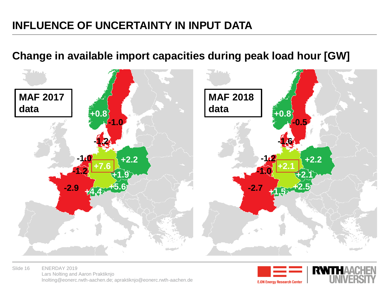#### **INFLUENCE OF UNCERTAINTY IN INPUT DATA**

#### **Change in available import capacities during peak load hour [GW]**



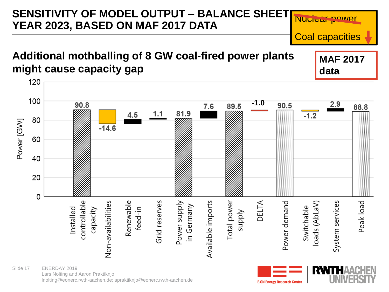#### **SENSITIVITY OF MODEL OUTPUT – BALANCE SHEET** Nuclear power **YEAR 2023, BASED ON MAF 2017 DATA** Coal capacities **Additional mothballing of 8 GW coal-fired power plants MAF 2017 might cause capacity gap data**120 100 **-1.0**  $2.9$ 90.8 90.5 7.6 89.5 88.8 81.9  $1.1$ 4.5  $-1.2$ 80 Power [GW]  $-14.6$ 60 40 20 0 DELTA controllable Non-availabilities Renewable Grid reserves Available imports Total power Power demand System services Peak load Power supply loads (AbLaV) in Germany Switchable feed-in Installed capacity **Addns**



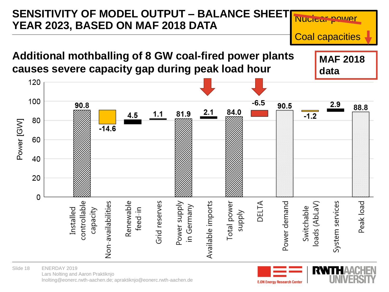

ENERDAY 2019 Lars Nolting and Aaron Praktiknjo lnolting@eonerc.rwth-aachen.de; apraktiknjo@eonerc.rwth-aachen.de Slide 18

**E.ON Energy Research Center** 

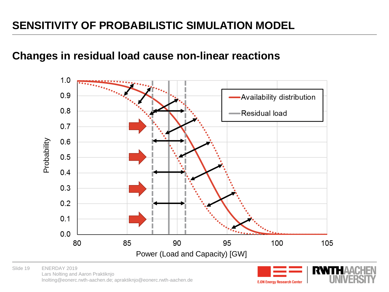#### **SENSITIVITY OF PROBABILISTIC SIMULATION MODEL**

#### **Changes in residual load cause non-linear reactions**



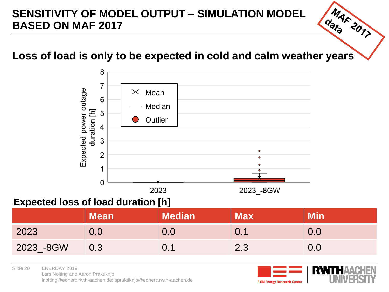#### **SENSITIVITY OF MODEL OUTPUT – SIMULATION MODEL BASED ON MAF 2017**

# MAF 2017 **Loss of load is only to be expected in cold and calm weather years**



#### **Expected loss of load duration [h]**

|           | <b>Mean</b> | <b>Median</b> | Max | <b>Min</b> |
|-----------|-------------|---------------|-----|------------|
| 2023      | $0.0\,$     | $0.0\,$       |     | 0.0        |
| 2023 -8GW | 0.3         | 0.1           | 2.3 | $0.0\,$    |

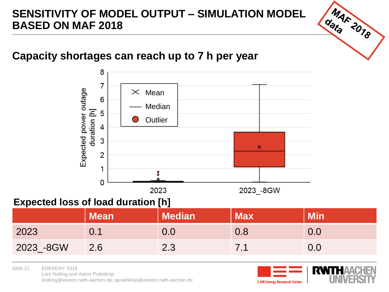#### **SENSITIVITY OF MODEL OUTPUT – SIMULATION MODEL BASED ON MAF 2018**

#### **Capacity shortages can reach up to 7 h per year**



#### **Expected loss of load duration [h]**

|           | <b>Mean</b> | <b>Median</b> | <b>Max</b> | <b>Min</b> |
|-----------|-------------|---------------|------------|------------|
| 2023      | () 1        | $0.0\,$       |            |            |
| 2023 -8GW | 2.6         | 2.3           |            |            |



MAF 2018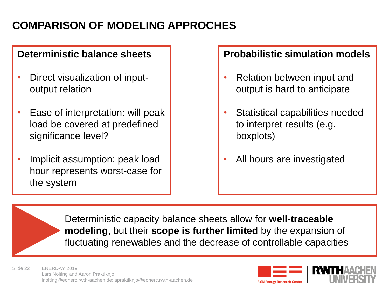#### **COMPARISON OF MODELING APPROCHES**

#### **Deterministic balance sheets**

- Direct visualization of inputoutput relation
- Ease of interpretation: will peak load be covered at predefined significance level?
- Implicit assumption: peak load hour represents worst-case for the system

#### **Probabilistic simulation models**

- Relation between input and output is hard to anticipate
- Statistical capabilities needed to interpret results (e.g. boxplots)
- All hours are investigated

Deterministic capacity balance sheets allow for **well-traceable modeling**, but their **scope is further limited** by the expansion of fluctuating renewables and the decrease of controllable capacities

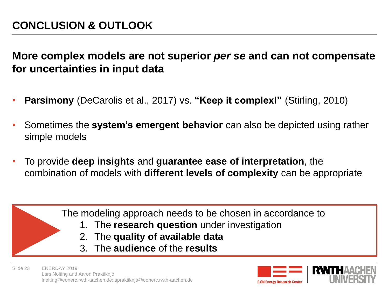**More complex models are not superior** *per se* **and can not compensate for uncertainties in input data**

- **Parsimony** (DeCarolis et al., 2017) vs. **"Keep it complex!"** (Stirling, 2010)
- Sometimes the **system's emergent behavior** can also be depicted using rather simple models
- To provide **deep insights** and **guarantee ease of interpretation**, the combination of models with **different levels of complexity** can be appropriate



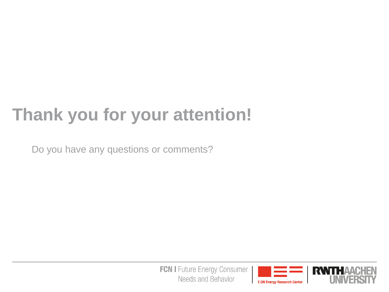# **Thank you for your attention!**

Do you have any questions or comments?

**FCN I** Future Energy Consumer Needs and Behavior